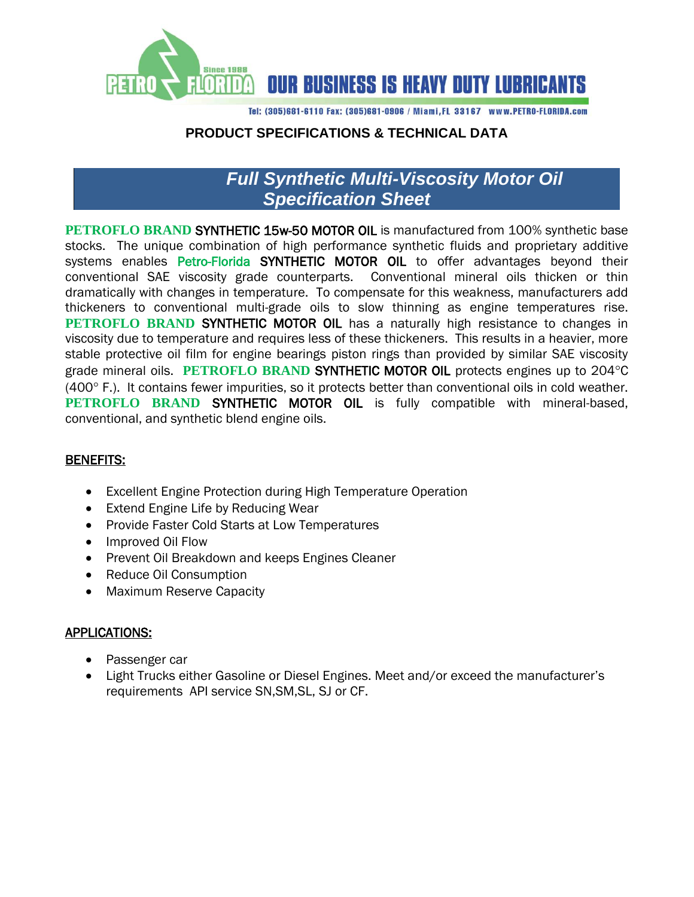

Tel: (305)681-6110 Fax: (305)681-0906 / Miami, FL 33167 www.PETRO-FLORIDA.com

## **PRODUCT SPECIFICATIONS & TECHNICAL DATA**

# *Full Synthetic Multi-Viscosity Motor Oil Specification Sheet*

**PETROFLO BRAND SYNTHETIC 15w-50 MOTOR OIL** is manufactured from 100% synthetic base stocks. The unique combination of high performance synthetic fluids and proprietary additive systems enables Petro-Florida SYNTHETIC MOTOR OIL to offer advantages beyond their conventional SAE viscosity grade counterparts. Conventional mineral oils thicken or thin dramatically with changes in temperature. To compensate for this weakness, manufacturers add thickeners to conventional multi-grade oils to slow thinning as engine temperatures rise. **PETROFLO BRAND SYNTHETIC MOTOR OIL** has a naturally high resistance to changes in viscosity due to temperature and requires less of these thickeners. This results in a heavier, more stable protective oil film for engine bearings piston rings than provided by similar SAE viscosity grade mineral oils. **PETROFLO BRAND SYNTHETIC MOTOR OIL** protects engines up to 204°C  $(400^{\circ}$  F.). It contains fewer impurities, so it protects better than conventional oils in cold weather. **PETROFLO BRAND SYNTHETIC MOTOR OIL** is fully compatible with mineral-based, conventional, and synthetic blend engine oils.

### BENEFITS:

- Excellent Engine Protection during High Temperature Operation
- Extend Engine Life by Reducing Wear
- Provide Faster Cold Starts at Low Temperatures
- Improved Oil Flow
- Prevent Oil Breakdown and keeps Engines Cleaner
- Reduce Oil Consumption
- Maximum Reserve Capacity

### APPLICATIONS:

- Passenger car
- Light Trucks either Gasoline or Diesel Engines. Meet and/or exceed the manufacturer's requirements API service SN,SM,SL, SJ or CF.